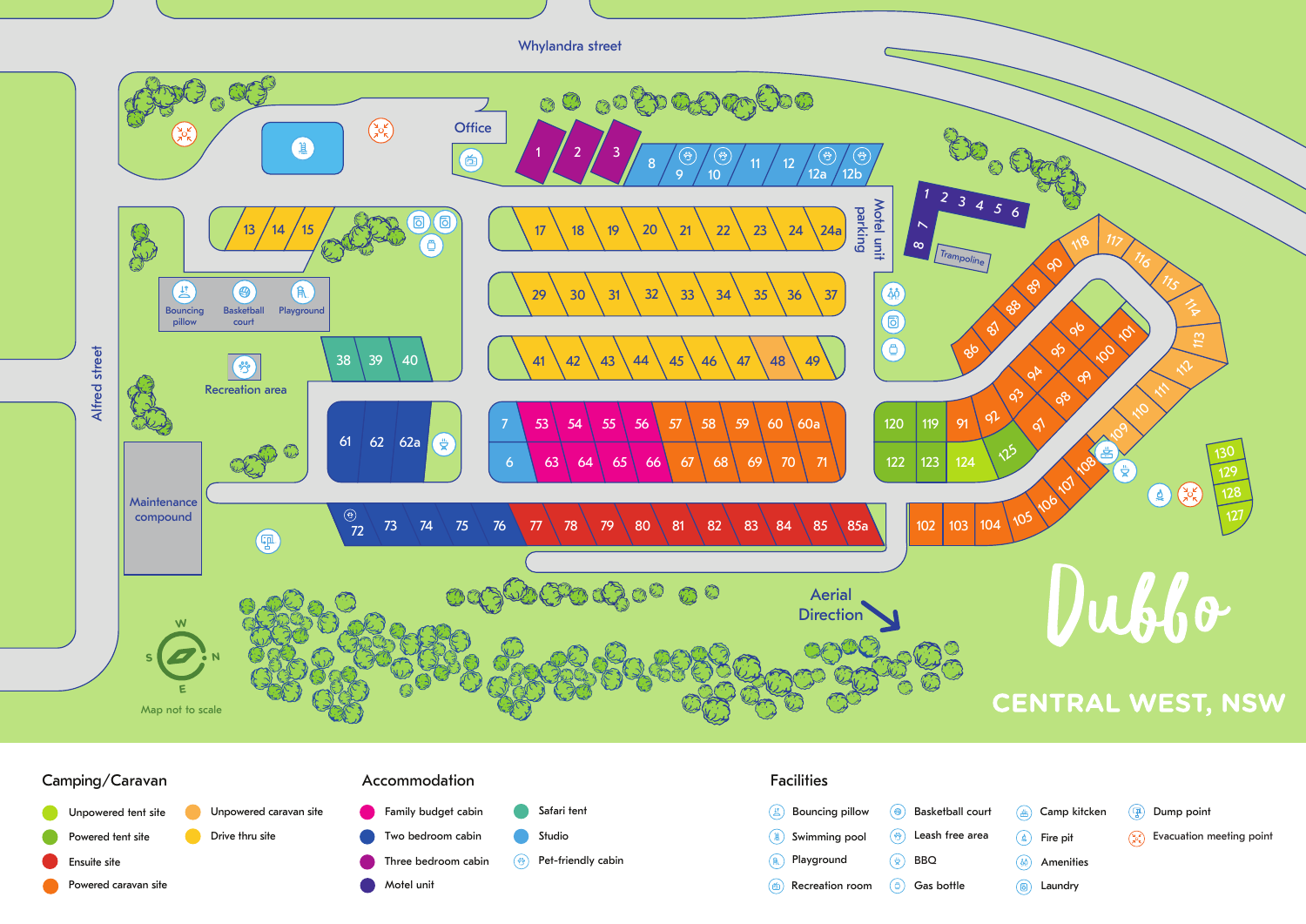